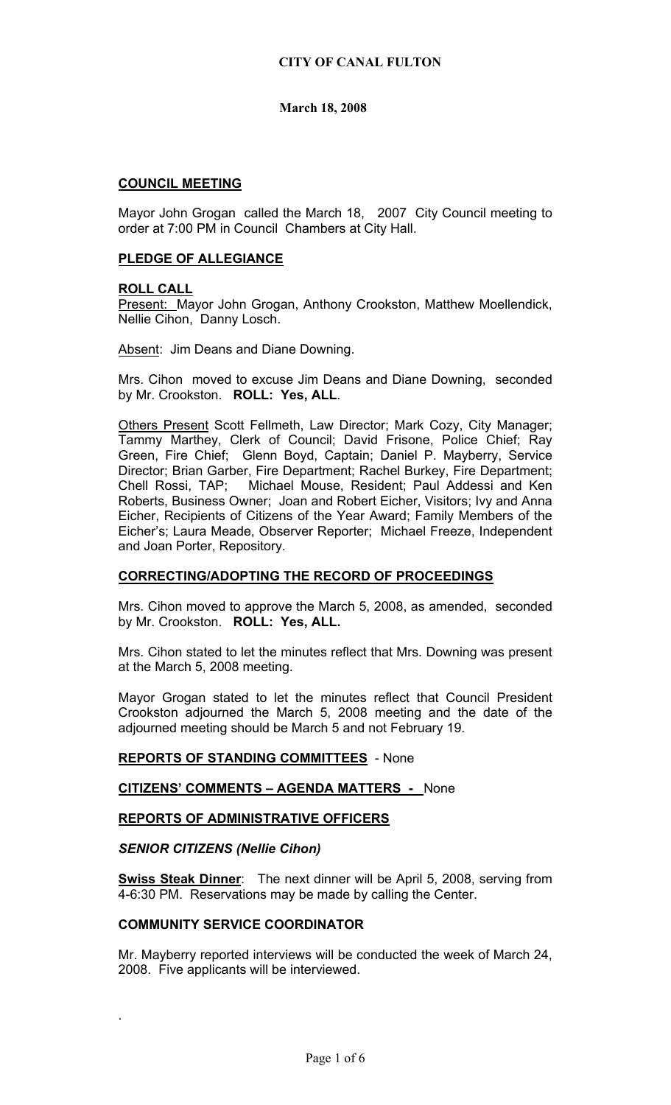## **COUNCIL MEETING**

Mayor John Grogan called the March 18, 2007 City Council meeting to order at 7:00 PM in Council Chambers at City Hall.

### **PLEDGE OF ALLEGIANCE**

### **ROLL CALL**

Present: Mayor John Grogan, Anthony Crookston, Matthew Moellendick, Nellie Cihon, Danny Losch.

Absent: Jim Deans and Diane Downing.

Mrs. Cihon moved to excuse Jim Deans and Diane Downing, seconded by Mr. Crookston. **ROLL: Yes, ALL**.

Others Present Scott Fellmeth, Law Director; Mark Cozy, City Manager; Tammy Marthey, Clerk of Council; David Frisone, Police Chief; Ray Green, Fire Chief; Glenn Boyd, Captain; Daniel P. Mayberry, Service Director; Brian Garber, Fire Department; Rachel Burkey, Fire Department; Chell Rossi, TAP; Michael Mouse, Resident; Paul Addessi and Ken Roberts, Business Owner; Joan and Robert Eicher, Visitors; Ivy and Anna Eicher, Recipients of Citizens of the Year Award; Family Members of the Eicher's; Laura Meade, Observer Reporter; Michael Freeze, Independent and Joan Porter, Repository.

# **CORRECTING/ADOPTING THE RECORD OF PROCEEDINGS**

Mrs. Cihon moved to approve the March 5, 2008, as amended, seconded by Mr. Crookston. **ROLL: Yes, ALL.** 

Mrs. Cihon stated to let the minutes reflect that Mrs. Downing was present at the March 5, 2008 meeting.

Mayor Grogan stated to let the minutes reflect that Council President Crookston adjourned the March 5, 2008 meeting and the date of the adjourned meeting should be March 5 and not February 19.

**REPORTS OF STANDING COMMITTEES** - None

**CITIZENS' COMMENTS – AGENDA MATTERS -** None

# **REPORTS OF ADMINISTRATIVE OFFICERS**

## *SENIOR CITIZENS (Nellie Cihon)*

.

**Swiss Steak Dinner**: The next dinner will be April 5, 2008, serving from 4-6:30 PM. Reservations may be made by calling the Center.

### **COMMUNITY SERVICE COORDINATOR**

Mr. Mayberry reported interviews will be conducted the week of March 24, 2008. Five applicants will be interviewed.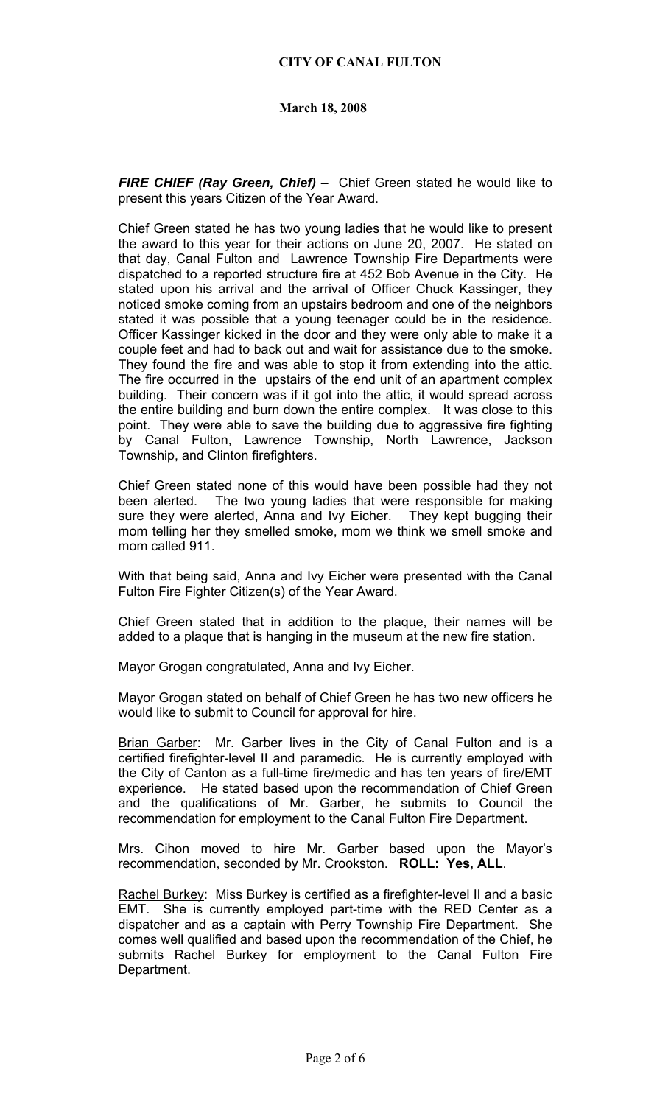*FIRE CHIEF (Ray Green, Chief)* – Chief Green stated he would like to present this years Citizen of the Year Award.

Chief Green stated he has two young ladies that he would like to present the award to this year for their actions on June 20, 2007. He stated on that day, Canal Fulton and Lawrence Township Fire Departments were dispatched to a reported structure fire at 452 Bob Avenue in the City. He stated upon his arrival and the arrival of Officer Chuck Kassinger, they noticed smoke coming from an upstairs bedroom and one of the neighbors stated it was possible that a young teenager could be in the residence. Officer Kassinger kicked in the door and they were only able to make it a couple feet and had to back out and wait for assistance due to the smoke. They found the fire and was able to stop it from extending into the attic. The fire occurred in the upstairs of the end unit of an apartment complex building. Their concern was if it got into the attic, it would spread across the entire building and burn down the entire complex. It was close to this point. They were able to save the building due to aggressive fire fighting by Canal Fulton, Lawrence Township, North Lawrence, Jackson Township, and Clinton firefighters.

Chief Green stated none of this would have been possible had they not been alerted. The two young ladies that were responsible for making sure they were alerted, Anna and Ivy Eicher. They kept bugging their mom telling her they smelled smoke, mom we think we smell smoke and mom called 911.

With that being said, Anna and Ivy Eicher were presented with the Canal Fulton Fire Fighter Citizen(s) of the Year Award.

Chief Green stated that in addition to the plaque, their names will be added to a plaque that is hanging in the museum at the new fire station.

Mayor Grogan congratulated, Anna and Ivy Eicher.

Mayor Grogan stated on behalf of Chief Green he has two new officers he would like to submit to Council for approval for hire.

Brian Garber: Mr. Garber lives in the City of Canal Fulton and is a certified firefighter-level II and paramedic. He is currently employed with the City of Canton as a full-time fire/medic and has ten years of fire/EMT experience. He stated based upon the recommendation of Chief Green and the qualifications of Mr. Garber, he submits to Council the recommendation for employment to the Canal Fulton Fire Department.

Mrs. Cihon moved to hire Mr. Garber based upon the Mayor's recommendation, seconded by Mr. Crookston. **ROLL: Yes, ALL**.

Rachel Burkey: Miss Burkey is certified as a firefighter-level II and a basic EMT. She is currently employed part-time with the RED Center as a dispatcher and as a captain with Perry Township Fire Department. She comes well qualified and based upon the recommendation of the Chief, he submits Rachel Burkey for employment to the Canal Fulton Fire Department.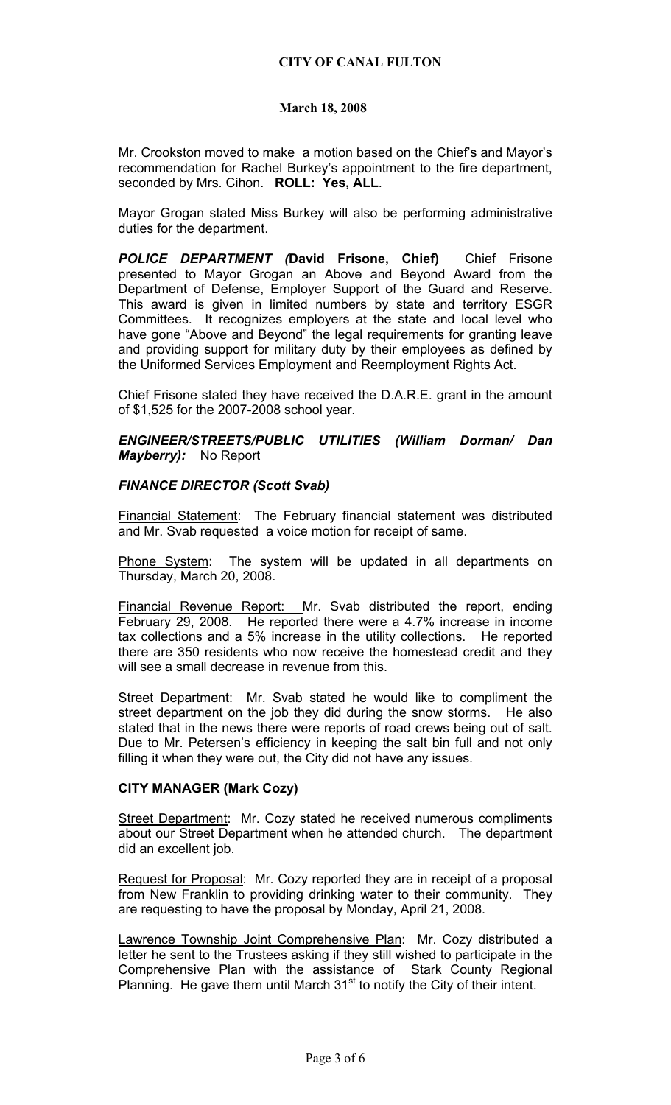Mr. Crookston moved to make a motion based on the Chief's and Mayor's recommendation for Rachel Burkey's appointment to the fire department, seconded by Mrs. Cihon. **ROLL: Yes, ALL**.

Mayor Grogan stated Miss Burkey will also be performing administrative duties for the department.

*POLICE DEPARTMENT (***David Frisone, Chief)** Chief Frisone presented to Mayor Grogan an Above and Beyond Award from the Department of Defense, Employer Support of the Guard and Reserve. This award is given in limited numbers by state and territory ESGR Committees. It recognizes employers at the state and local level who have gone "Above and Beyond" the legal requirements for granting leave and providing support for military duty by their employees as defined by the Uniformed Services Employment and Reemployment Rights Act.

Chief Frisone stated they have received the D.A.R.E. grant in the amount of \$1,525 for the 2007-2008 school year.

*ENGINEER/STREETS/PUBLIC UTILITIES (William Dorman/ Dan Mayberry):* No Report

### *FINANCE DIRECTOR (Scott Svab)*

Financial Statement: The February financial statement was distributed and Mr. Svab requested a voice motion for receipt of same.

Phone System: The system will be updated in all departments on Thursday, March 20, 2008.

Financial Revenue Report: Mr. Svab distributed the report, ending February 29, 2008. He reported there were a 4.7% increase in income tax collections and a 5% increase in the utility collections. He reported there are 350 residents who now receive the homestead credit and they will see a small decrease in revenue from this.

Street Department: Mr. Svab stated he would like to compliment the street department on the job they did during the snow storms. He also stated that in the news there were reports of road crews being out of salt. Due to Mr. Petersen's efficiency in keeping the salt bin full and not only filling it when they were out, the City did not have any issues.

### **CITY MANAGER (Mark Cozy)**

Street Department: Mr. Cozy stated he received numerous compliments about our Street Department when he attended church. The department did an excellent job.

Request for Proposal: Mr. Cozy reported they are in receipt of a proposal from New Franklin to providing drinking water to their community. They are requesting to have the proposal by Monday, April 21, 2008.

Lawrence Township Joint Comprehensive Plan: Mr. Cozy distributed a letter he sent to the Trustees asking if they still wished to participate in the Comprehensive Plan with the assistance of Stark County Regional Planning. He gave them until March  $31<sup>st</sup>$  to notify the City of their intent.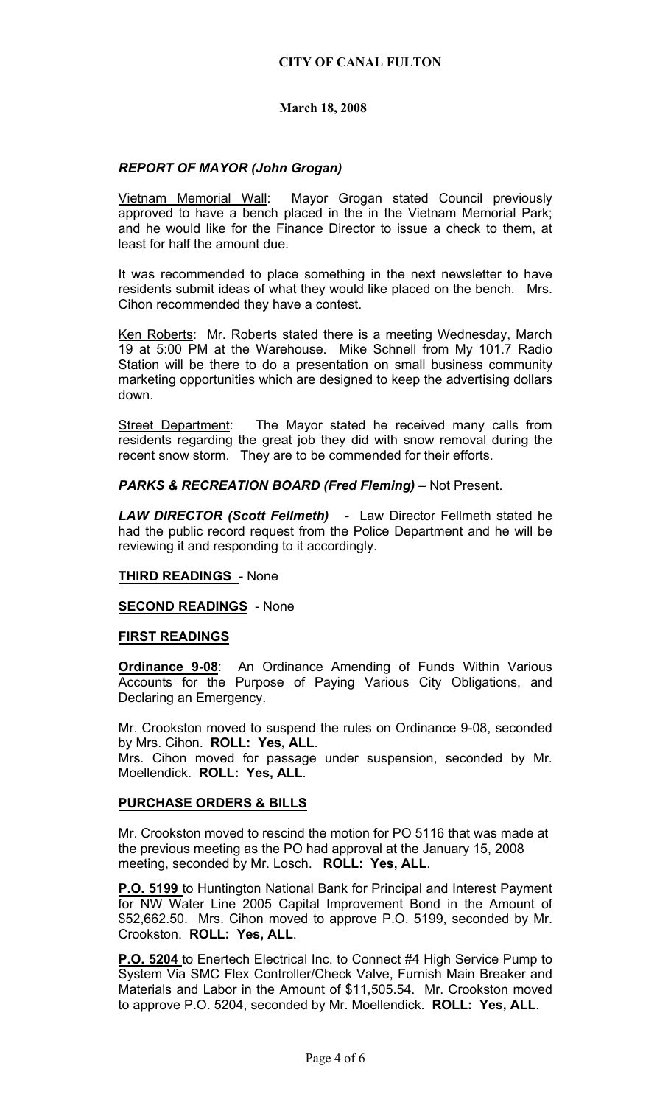## *REPORT OF MAYOR (John Grogan)*

Vietnam Memorial Wall: Mayor Grogan stated Council previously approved to have a bench placed in the in the Vietnam Memorial Park; and he would like for the Finance Director to issue a check to them, at least for half the amount due.

It was recommended to place something in the next newsletter to have residents submit ideas of what they would like placed on the bench. Mrs. Cihon recommended they have a contest.

Ken Roberts: Mr. Roberts stated there is a meeting Wednesday, March 19 at 5:00 PM at the Warehouse. Mike Schnell from My 101.7 Radio Station will be there to do a presentation on small business community marketing opportunities which are designed to keep the advertising dollars down.

Street Department: The Mayor stated he received many calls from residents regarding the great job they did with snow removal during the recent snow storm. They are to be commended for their efforts.

*PARKS & RECREATION BOARD (Fred Fleming)* – Not Present.

*LAW DIRECTOR (Scott Fellmeth)* - Law Director Fellmeth stated he had the public record request from the Police Department and he will be reviewing it and responding to it accordingly.

### **THIRD READINGS** - None

**SECOND READINGS** - None

### **FIRST READINGS**

**Ordinance 9-08**: An Ordinance Amending of Funds Within Various Accounts for the Purpose of Paying Various City Obligations, and Declaring an Emergency.

Mr. Crookston moved to suspend the rules on Ordinance 9-08, seconded by Mrs. Cihon. **ROLL: Yes, ALL**.

Mrs. Cihon moved for passage under suspension, seconded by Mr. Moellendick. **ROLL: Yes, ALL**.

# **PURCHASE ORDERS & BILLS**

Mr. Crookston moved to rescind the motion for PO 5116 that was made at the previous meeting as the PO had approval at the January 15, 2008 meeting, seconded by Mr. Losch. **ROLL: Yes, ALL**.

**P.O. 5199** to Huntington National Bank for Principal and Interest Payment for NW Water Line 2005 Capital Improvement Bond in the Amount of \$52,662.50. Mrs. Cihon moved to approve P.O. 5199, seconded by Mr. Crookston. **ROLL: Yes, ALL**.

**P.O. 5204** to Enertech Electrical Inc. to Connect #4 High Service Pump to System Via SMC Flex Controller/Check Valve, Furnish Main Breaker and Materials and Labor in the Amount of \$11,505.54. Mr. Crookston moved to approve P.O. 5204, seconded by Mr. Moellendick. **ROLL: Yes, ALL**.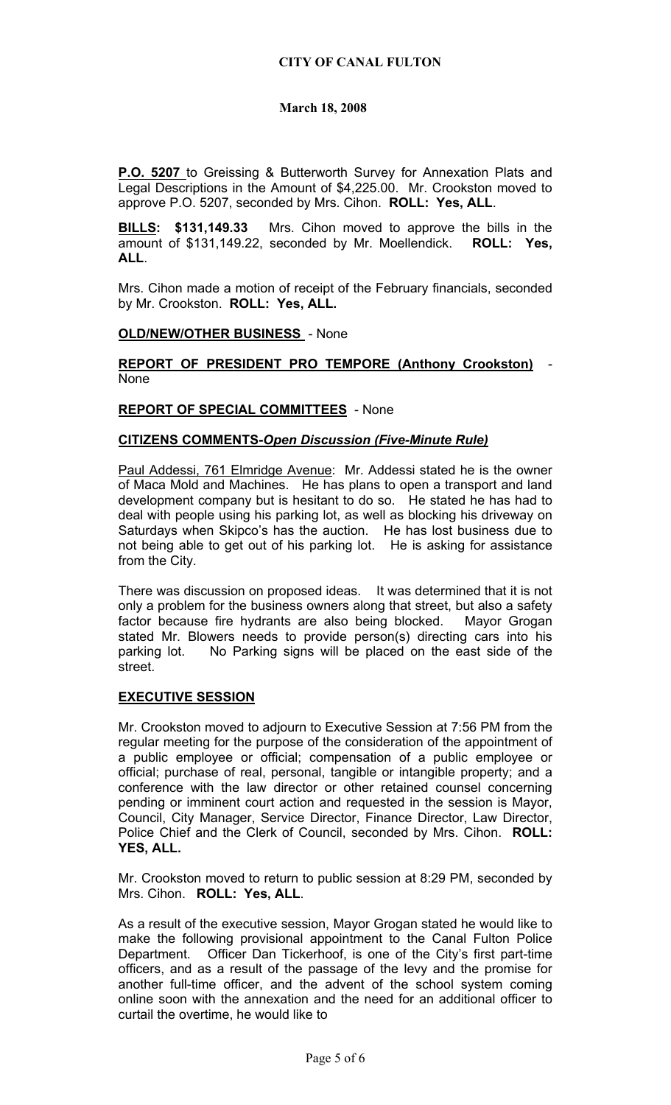**P.O. 5207** to Greissing & Butterworth Survey for Annexation Plats and Legal Descriptions in the Amount of \$4,225.00. Mr. Crookston moved to approve P.O. 5207, seconded by Mrs. Cihon. **ROLL: Yes, ALL**.

**BILLS: \$131,149.33** Mrs. Cihon moved to approve the bills in the amount of \$131,149.22, seconded by Mr. Moellendick. **ROLL: Yes, ALL**.

Mrs. Cihon made a motion of receipt of the February financials, seconded by Mr. Crookston. **ROLL: Yes, ALL.**

### **OLD/NEW/OTHER BUSINESS** - None

**REPORT OF PRESIDENT PRO TEMPORE (Anthony Crookston)** - None

### **REPORT OF SPECIAL COMMITTEES** - None

### **CITIZENS COMMENTS-***Open Discussion (Five-Minute Rule)*

Paul Addessi, 761 Elmridge Avenue: Mr. Addessi stated he is the owner of Maca Mold and Machines. He has plans to open a transport and land development company but is hesitant to do so. He stated he has had to deal with people using his parking lot, as well as blocking his driveway on Saturdays when Skipco's has the auction. He has lost business due to not being able to get out of his parking lot. He is asking for assistance from the City.

There was discussion on proposed ideas. It was determined that it is not only a problem for the business owners along that street, but also a safety factor because fire hydrants are also being blocked. Mayor Grogan stated Mr. Blowers needs to provide person(s) directing cars into his parking lot. No Parking signs will be placed on the east side of the street.

# **EXECUTIVE SESSION**

Mr. Crookston moved to adjourn to Executive Session at 7:56 PM from the regular meeting for the purpose of the consideration of the appointment of a public employee or official; compensation of a public employee or official; purchase of real, personal, tangible or intangible property; and a conference with the law director or other retained counsel concerning pending or imminent court action and requested in the session is Mayor, Council, City Manager, Service Director, Finance Director, Law Director, Police Chief and the Clerk of Council, seconded by Mrs. Cihon. **ROLL: YES, ALL.** 

Mr. Crookston moved to return to public session at 8:29 PM, seconded by Mrs. Cihon. **ROLL: Yes, ALL**.

As a result of the executive session, Mayor Grogan stated he would like to make the following provisional appointment to the Canal Fulton Police Department. Officer Dan Tickerhoof, is one of the City's first part-time officers, and as a result of the passage of the levy and the promise for another full-time officer, and the advent of the school system coming online soon with the annexation and the need for an additional officer to curtail the overtime, he would like to